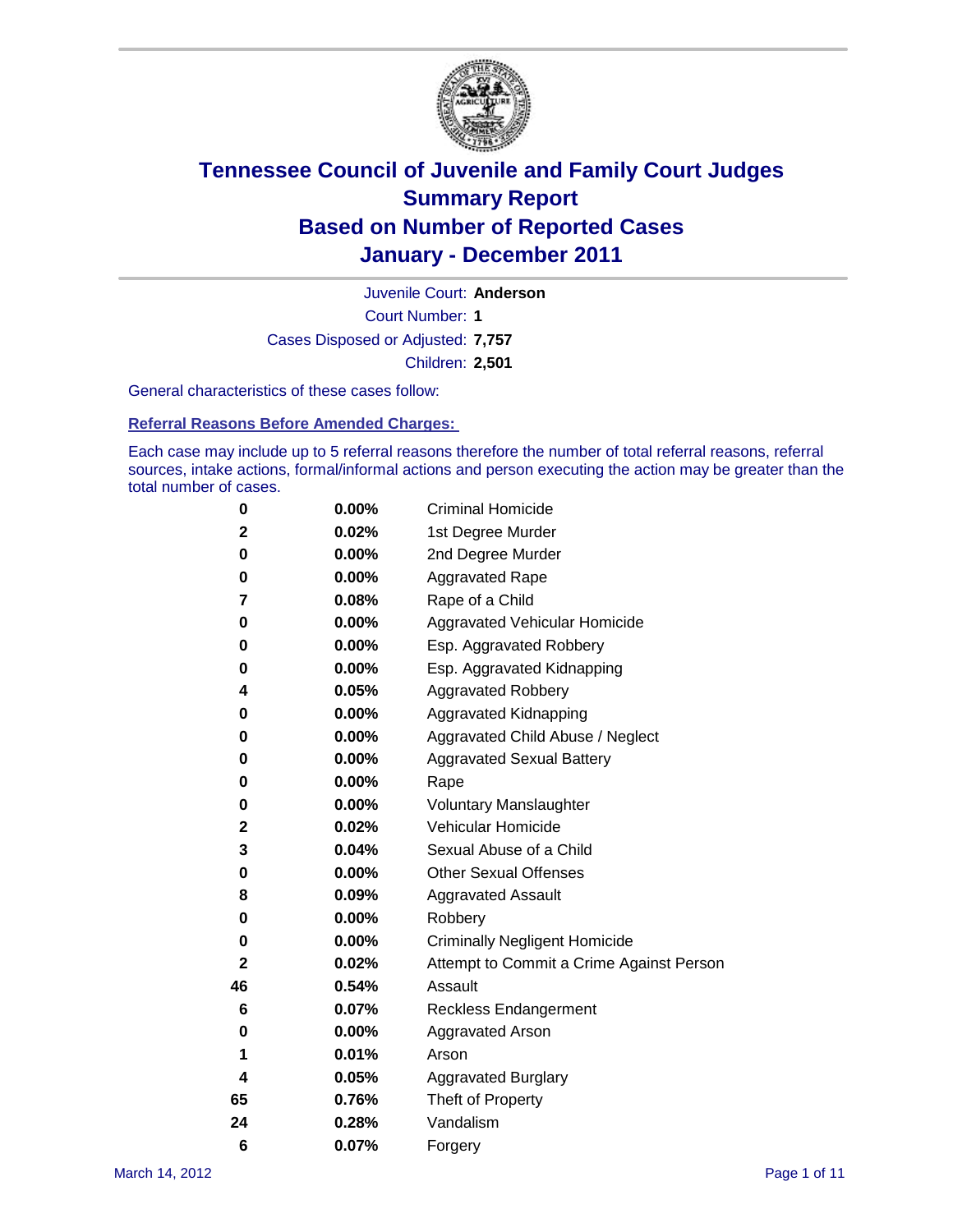

Court Number: **1** Juvenile Court: **Anderson** Cases Disposed or Adjusted: **7,757** Children: **2,501**

General characteristics of these cases follow:

**Referral Reasons Before Amended Charges:** 

Each case may include up to 5 referral reasons therefore the number of total referral reasons, referral sources, intake actions, formal/informal actions and person executing the action may be greater than the total number of cases.

| 0  | 0.00%    | <b>Criminal Homicide</b>                 |
|----|----------|------------------------------------------|
| 2  | 0.02%    | 1st Degree Murder                        |
| 0  | 0.00%    | 2nd Degree Murder                        |
| 0  | 0.00%    | <b>Aggravated Rape</b>                   |
| 7  | 0.08%    | Rape of a Child                          |
| 0  | 0.00%    | Aggravated Vehicular Homicide            |
| 0  | 0.00%    | Esp. Aggravated Robbery                  |
| 0  | 0.00%    | Esp. Aggravated Kidnapping               |
| 4  | 0.05%    | <b>Aggravated Robbery</b>                |
| 0  | 0.00%    | Aggravated Kidnapping                    |
| 0  | 0.00%    | Aggravated Child Abuse / Neglect         |
| 0  | 0.00%    | <b>Aggravated Sexual Battery</b>         |
| 0  | 0.00%    | Rape                                     |
| 0  | 0.00%    | <b>Voluntary Manslaughter</b>            |
| 2  | 0.02%    | Vehicular Homicide                       |
| 3  | 0.04%    | Sexual Abuse of a Child                  |
| 0  | 0.00%    | <b>Other Sexual Offenses</b>             |
| 8  | 0.09%    | <b>Aggravated Assault</b>                |
| 0  | $0.00\%$ | Robbery                                  |
| 0  | 0.00%    | <b>Criminally Negligent Homicide</b>     |
| 2  | 0.02%    | Attempt to Commit a Crime Against Person |
| 46 | 0.54%    | Assault                                  |
| 6  | 0.07%    | <b>Reckless Endangerment</b>             |
| 0  | 0.00%    | <b>Aggravated Arson</b>                  |
| 1  | 0.01%    | Arson                                    |
| 4  | 0.05%    | <b>Aggravated Burglary</b>               |
| 65 | 0.76%    | Theft of Property                        |
| 24 | 0.28%    | Vandalism                                |
| 6  | 0.07%    | Forgery                                  |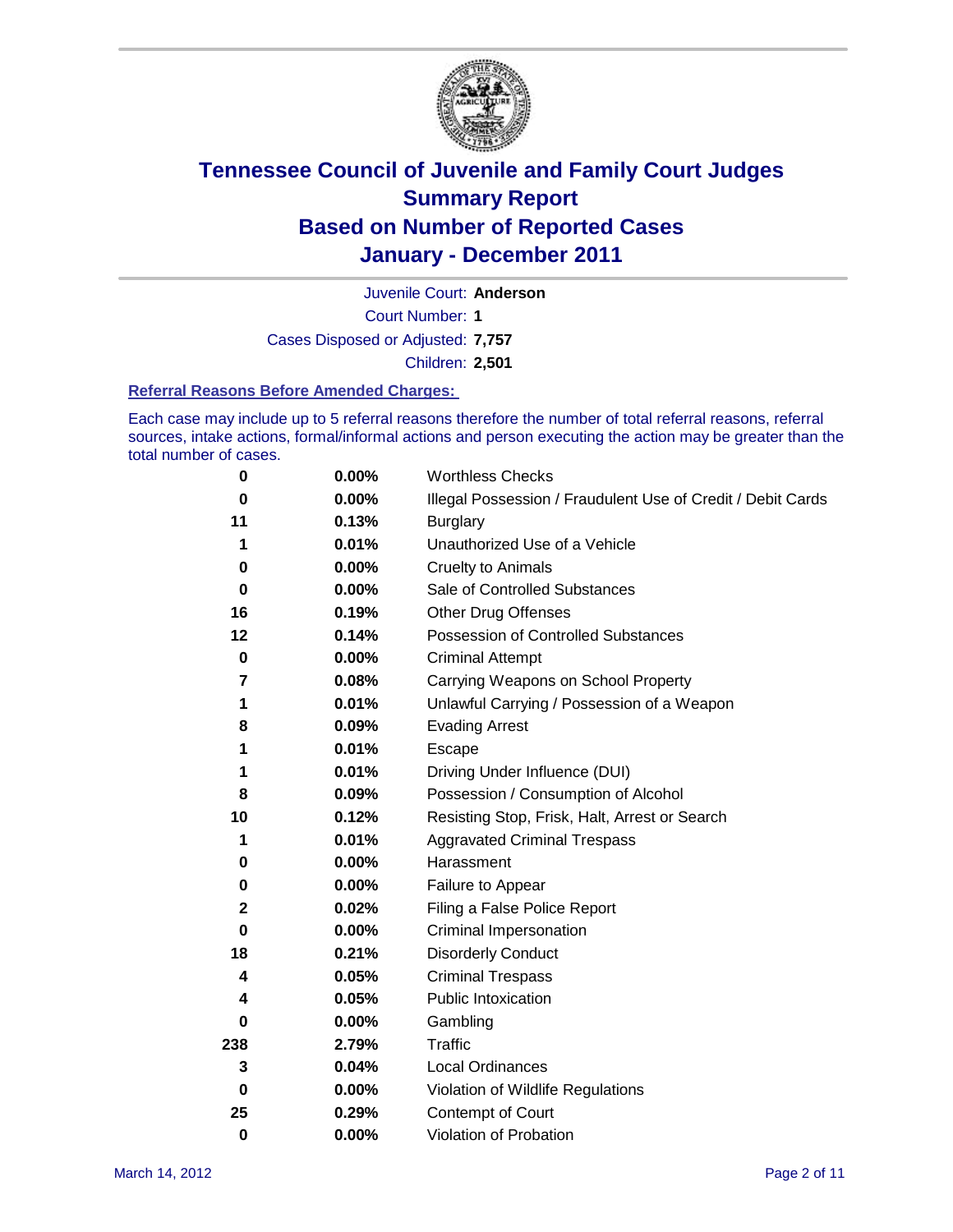

Juvenile Court: **Anderson**

Court Number: **1**

Cases Disposed or Adjusted: **7,757**

Children: **2,501**

#### **Referral Reasons Before Amended Charges:**

Each case may include up to 5 referral reasons therefore the number of total referral reasons, referral sources, intake actions, formal/informal actions and person executing the action may be greater than the total number of cases.

| $\bf{0}$    | 0.00%    | <b>Worthless Checks</b>                                     |
|-------------|----------|-------------------------------------------------------------|
| 0           | 0.00%    | Illegal Possession / Fraudulent Use of Credit / Debit Cards |
| 11          | 0.13%    | <b>Burglary</b>                                             |
| 1           | 0.01%    | Unauthorized Use of a Vehicle                               |
| 0           | $0.00\%$ | <b>Cruelty to Animals</b>                                   |
| $\bf{0}$    | 0.00%    | Sale of Controlled Substances                               |
| 16          | 0.19%    | <b>Other Drug Offenses</b>                                  |
| 12          | 0.14%    | Possession of Controlled Substances                         |
| $\mathbf 0$ | $0.00\%$ | <b>Criminal Attempt</b>                                     |
| 7           | 0.08%    | Carrying Weapons on School Property                         |
| 1           | 0.01%    | Unlawful Carrying / Possession of a Weapon                  |
| 8           | 0.09%    | <b>Evading Arrest</b>                                       |
| 1           | 0.01%    | Escape                                                      |
| 1           | 0.01%    | Driving Under Influence (DUI)                               |
| 8           | 0.09%    | Possession / Consumption of Alcohol                         |
| 10          | 0.12%    | Resisting Stop, Frisk, Halt, Arrest or Search               |
| 1           | 0.01%    | <b>Aggravated Criminal Trespass</b>                         |
| 0           | $0.00\%$ | Harassment                                                  |
| 0           | 0.00%    | Failure to Appear                                           |
| $\mathbf 2$ | 0.02%    | Filing a False Police Report                                |
| $\bf{0}$    | 0.00%    | Criminal Impersonation                                      |
| 18          | 0.21%    | <b>Disorderly Conduct</b>                                   |
| 4           | 0.05%    | <b>Criminal Trespass</b>                                    |
| 4           | 0.05%    | Public Intoxication                                         |
| 0           | $0.00\%$ | Gambling                                                    |
| 238         | 2.79%    | <b>Traffic</b>                                              |
| 3           | 0.04%    | Local Ordinances                                            |
| $\mathbf 0$ | 0.00%    | Violation of Wildlife Regulations                           |
| 25          | 0.29%    | Contempt of Court                                           |
| 0           | 0.00%    | Violation of Probation                                      |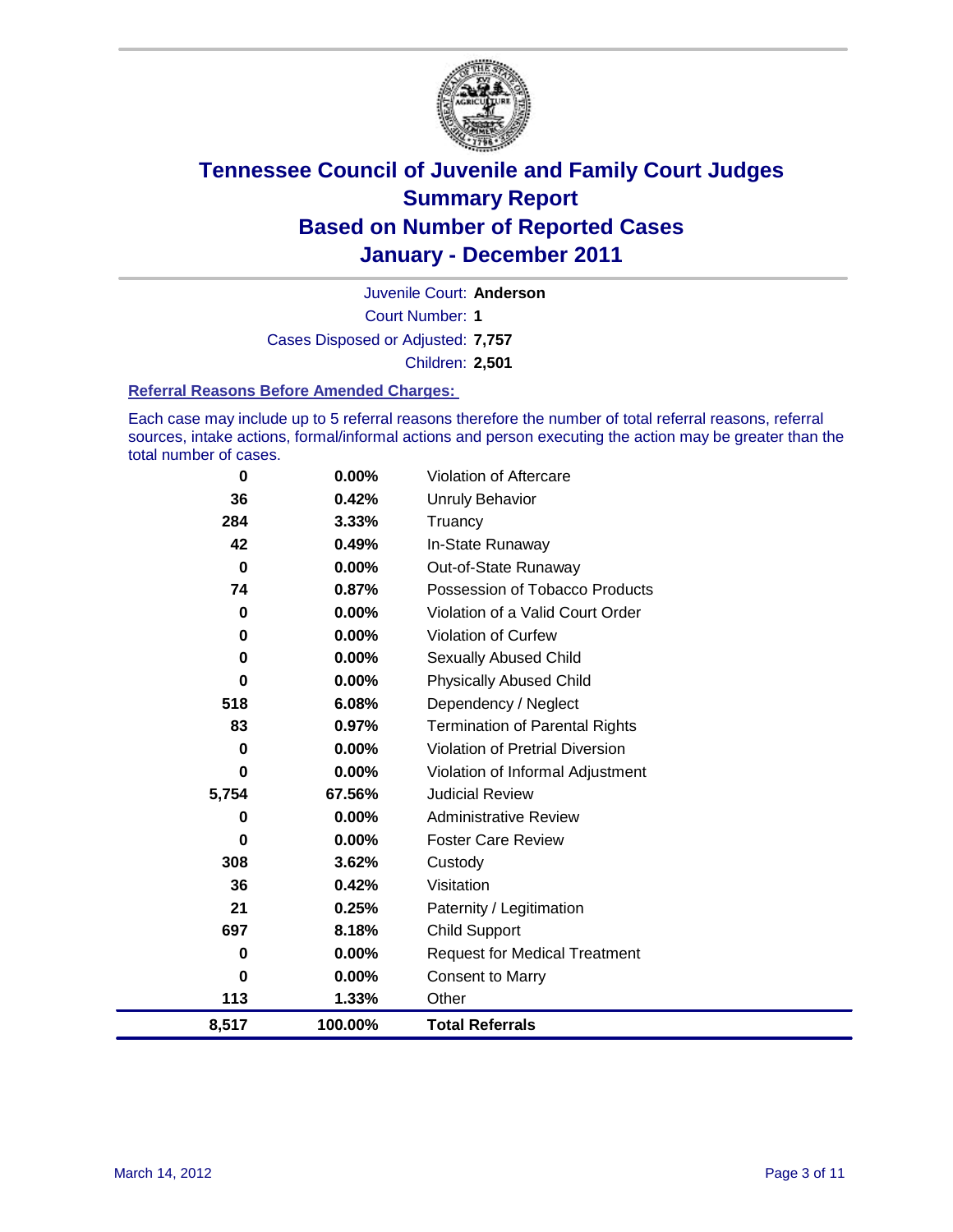

Court Number: **1** Juvenile Court: **Anderson** Cases Disposed or Adjusted: **7,757** Children: **2,501**

#### **Referral Reasons Before Amended Charges:**

Each case may include up to 5 referral reasons therefore the number of total referral reasons, referral sources, intake actions, formal/informal actions and person executing the action may be greater than the total number of cases.

| 0        | 0.00%    | <b>Violation of Aftercare</b>          |
|----------|----------|----------------------------------------|
| 36       | 0.42%    | Unruly Behavior                        |
| 284      | 3.33%    | Truancy                                |
| 42       | 0.49%    | In-State Runaway                       |
| $\bf{0}$ | $0.00\%$ | Out-of-State Runaway                   |
| 74       | 0.87%    | Possession of Tobacco Products         |
| 0        | 0.00%    | Violation of a Valid Court Order       |
| 0        | 0.00%    | <b>Violation of Curfew</b>             |
| 0        | 0.00%    | <b>Sexually Abused Child</b>           |
| 0        | 0.00%    | <b>Physically Abused Child</b>         |
| 518      | 6.08%    | Dependency / Neglect                   |
| 83       | 0.97%    | <b>Termination of Parental Rights</b>  |
| 0        | 0.00%    | <b>Violation of Pretrial Diversion</b> |
| 0        | 0.00%    | Violation of Informal Adjustment       |
| 5,754    | 67.56%   | <b>Judicial Review</b>                 |
| 0        | 0.00%    | <b>Administrative Review</b>           |
| 0        | $0.00\%$ | <b>Foster Care Review</b>              |
| 308      | 3.62%    | Custody                                |
| 36       | 0.42%    | Visitation                             |
| 21       | 0.25%    | Paternity / Legitimation               |
| 697      | 8.18%    | Child Support                          |
| 0        | 0.00%    | <b>Request for Medical Treatment</b>   |
| 0        | 0.00%    | <b>Consent to Marry</b>                |
| 113      | 1.33%    | Other                                  |
| 8,517    | 100.00%  | <b>Total Referrals</b>                 |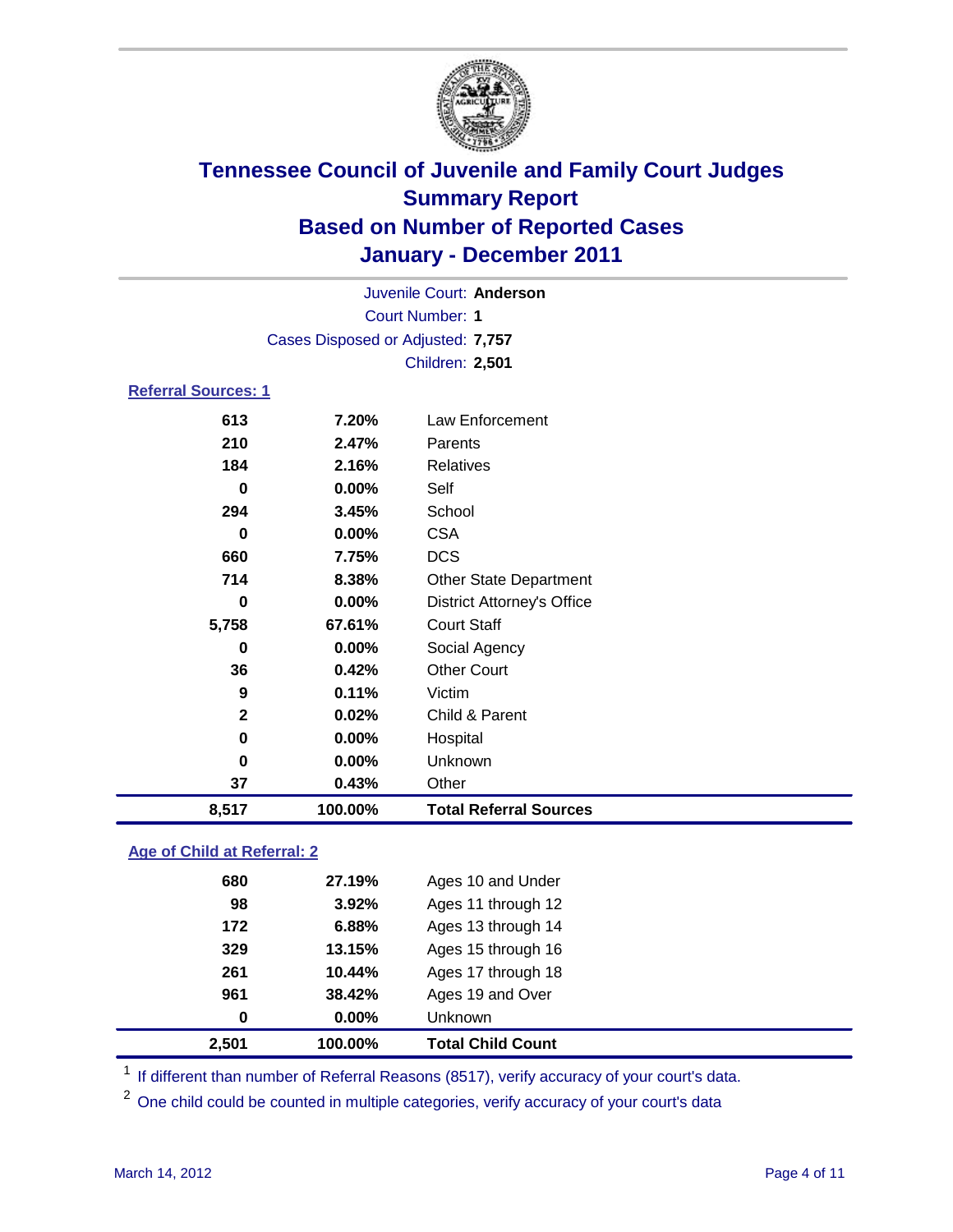

| Juvenile Court: Anderson           |                                   |                                   |  |  |  |
|------------------------------------|-----------------------------------|-----------------------------------|--|--|--|
| <b>Court Number: 1</b>             |                                   |                                   |  |  |  |
|                                    | Cases Disposed or Adjusted: 7,757 |                                   |  |  |  |
|                                    |                                   | Children: 2,501                   |  |  |  |
| <b>Referral Sources: 1</b>         |                                   |                                   |  |  |  |
| 613                                | 7.20%                             | <b>Law Enforcement</b>            |  |  |  |
| 210                                | 2.47%                             | Parents                           |  |  |  |
| 184                                | 2.16%                             | <b>Relatives</b>                  |  |  |  |
| $\bf{0}$                           | 0.00%                             | Self                              |  |  |  |
| 294                                | 3.45%                             | School                            |  |  |  |
| $\bf{0}$                           | 0.00%                             | <b>CSA</b>                        |  |  |  |
| 660                                | 7.75%                             | <b>DCS</b>                        |  |  |  |
| 714                                | 8.38%                             | <b>Other State Department</b>     |  |  |  |
| 0                                  | $0.00\%$                          | <b>District Attorney's Office</b> |  |  |  |
| 5,758                              | 67.61%                            | <b>Court Staff</b>                |  |  |  |
| 0                                  | 0.00%                             | Social Agency                     |  |  |  |
| 36                                 | 0.42%                             | <b>Other Court</b>                |  |  |  |
| 9                                  | 0.11%                             | Victim                            |  |  |  |
| $\mathbf{2}$                       | 0.02%                             | Child & Parent                    |  |  |  |
| $\bf{0}$                           | 0.00%                             | Hospital                          |  |  |  |
| 0                                  | 0.00%                             | Unknown                           |  |  |  |
| 37                                 | 0.43%                             | Other                             |  |  |  |
| 8,517                              | 100.00%                           | <b>Total Referral Sources</b>     |  |  |  |
| Age of Child at Referral: 2        |                                   |                                   |  |  |  |
| 680<br>27.19%<br>Ages 10 and Under |                                   |                                   |  |  |  |

| 2,501 | 100.00%       | <b>Total Child Count</b> |
|-------|---------------|--------------------------|
|       | $0.00\%$<br>0 | Unknown                  |
| 961   | 38.42%        | Ages 19 and Over         |
|       | 261<br>10.44% | Ages 17 through 18       |
|       | 13.15%<br>329 | Ages 15 through 16       |
|       | 172<br>6.88%  | Ages 13 through 14       |
|       | 3.92%<br>98   | Ages 11 through 12       |
|       | 680<br>21.19% | Ages 10 and Under        |

<sup>1</sup> If different than number of Referral Reasons (8517), verify accuracy of your court's data.

One child could be counted in multiple categories, verify accuracy of your court's data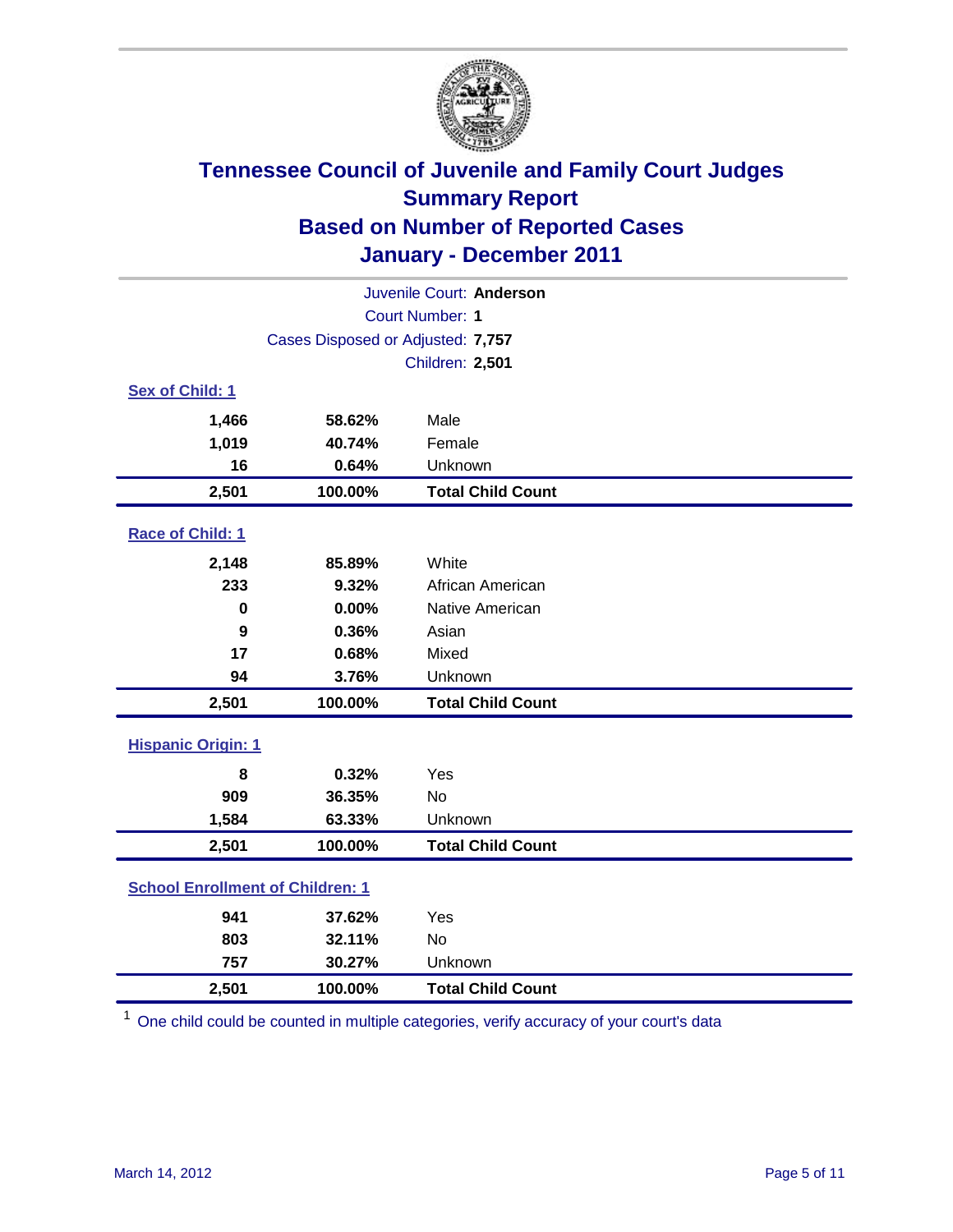

| Juvenile Court: Anderson                |                                   |                          |  |  |  |
|-----------------------------------------|-----------------------------------|--------------------------|--|--|--|
|                                         | <b>Court Number: 1</b>            |                          |  |  |  |
|                                         | Cases Disposed or Adjusted: 7,757 |                          |  |  |  |
|                                         |                                   | Children: 2,501          |  |  |  |
| Sex of Child: 1                         |                                   |                          |  |  |  |
| 1,466                                   | 58.62%                            | Male                     |  |  |  |
| 1,019                                   | 40.74%                            | Female                   |  |  |  |
| 16                                      | 0.64%                             | Unknown                  |  |  |  |
| 2,501                                   | 100.00%                           | <b>Total Child Count</b> |  |  |  |
| Race of Child: 1                        |                                   |                          |  |  |  |
| 2,148                                   | 85.89%                            | White                    |  |  |  |
| 233                                     | 9.32%                             | African American         |  |  |  |
| 0                                       | 0.00%                             | Native American          |  |  |  |
| 9                                       | 0.36%                             | Asian                    |  |  |  |
| 17                                      | 0.68%                             | Mixed                    |  |  |  |
| 94                                      | 3.76%                             | Unknown                  |  |  |  |
| 2,501                                   | 100.00%                           | <b>Total Child Count</b> |  |  |  |
| <b>Hispanic Origin: 1</b>               |                                   |                          |  |  |  |
| 8                                       | 0.32%                             | Yes                      |  |  |  |
| 909                                     | 36.35%                            | No                       |  |  |  |
| 1,584                                   | 63.33%                            | Unknown                  |  |  |  |
| 2,501                                   | 100.00%                           | <b>Total Child Count</b> |  |  |  |
| <b>School Enrollment of Children: 1</b> |                                   |                          |  |  |  |
| 941                                     | 37.62%                            | Yes                      |  |  |  |
| 803                                     | 32.11%                            | No                       |  |  |  |
| 757                                     | 30.27%                            | Unknown                  |  |  |  |
| 2,501                                   | 100.00%                           | <b>Total Child Count</b> |  |  |  |

<sup>1</sup> One child could be counted in multiple categories, verify accuracy of your court's data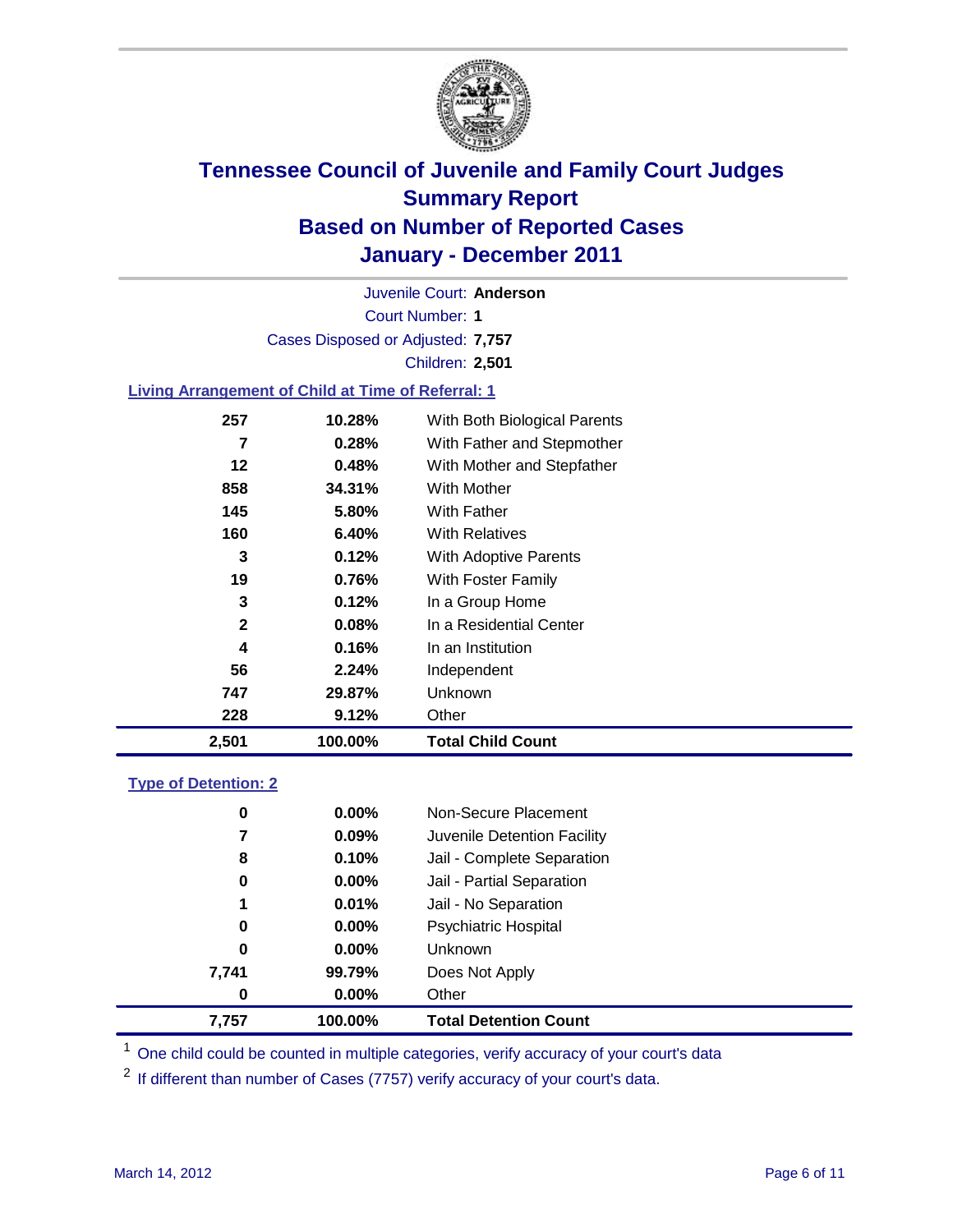

Court Number: **1** Juvenile Court: **Anderson** Cases Disposed or Adjusted: **7,757** Children: **2,501**

#### **Living Arrangement of Child at Time of Referral: 1**

| 2,501        | 100.00% | <b>Total Child Count</b>     |
|--------------|---------|------------------------------|
| 228          | 9.12%   | Other                        |
| 747          | 29.87%  | Unknown                      |
| 56           | 2.24%   | Independent                  |
| 4            | 0.16%   | In an Institution            |
| $\mathbf{2}$ | 0.08%   | In a Residential Center      |
| 3            | 0.12%   | In a Group Home              |
| 19           | 0.76%   | With Foster Family           |
| 3            | 0.12%   | With Adoptive Parents        |
| 160          | 6.40%   | <b>With Relatives</b>        |
| 145          | 5.80%   | With Father                  |
| 858          | 34.31%  | With Mother                  |
| 12           | 0.48%   | With Mother and Stepfather   |
| 7            | 0.28%   | With Father and Stepmother   |
| 257          | 10.28%  | With Both Biological Parents |
|              |         |                              |

### **Type of Detention: 2**

| 7,757 | 100.00%  | <b>Total Detention Count</b> |  |
|-------|----------|------------------------------|--|
| 0     | 0.00%    | Other                        |  |
| 7,741 | 99.79%   | Does Not Apply               |  |
| 0     | $0.00\%$ | <b>Unknown</b>               |  |
| 0     | $0.00\%$ | Psychiatric Hospital         |  |
| 1     | 0.01%    | Jail - No Separation         |  |
| 0     | $0.00\%$ | Jail - Partial Separation    |  |
| 8     | 0.10%    | Jail - Complete Separation   |  |
| 7     | 0.09%    | Juvenile Detention Facility  |  |
| 0     | $0.00\%$ | Non-Secure Placement         |  |
|       |          |                              |  |

<sup>1</sup> One child could be counted in multiple categories, verify accuracy of your court's data

<sup>2</sup> If different than number of Cases (7757) verify accuracy of your court's data.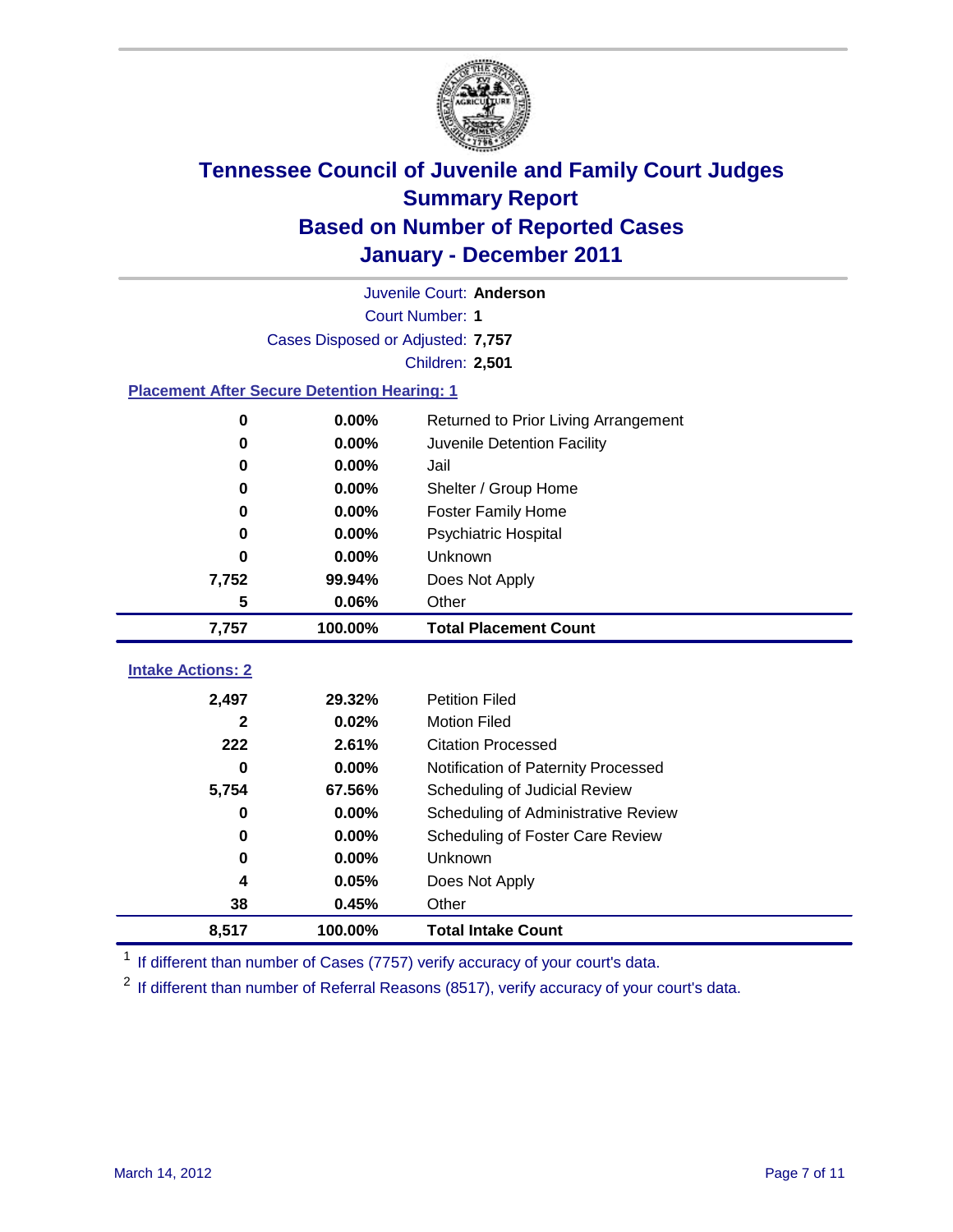

|                                                    | Juvenile Court: Anderson          |                                      |  |  |  |
|----------------------------------------------------|-----------------------------------|--------------------------------------|--|--|--|
|                                                    | <b>Court Number: 1</b>            |                                      |  |  |  |
|                                                    | Cases Disposed or Adjusted: 7,757 |                                      |  |  |  |
|                                                    |                                   | <b>Children: 2,501</b>               |  |  |  |
| <b>Placement After Secure Detention Hearing: 1</b> |                                   |                                      |  |  |  |
| $\mathbf 0$                                        | 0.00%                             | Returned to Prior Living Arrangement |  |  |  |
| $\bf{0}$                                           | 0.00%                             | Juvenile Detention Facility          |  |  |  |
| 0                                                  | 0.00%                             | Jail                                 |  |  |  |
| 0                                                  | 0.00%                             | Shelter / Group Home                 |  |  |  |
| 0                                                  | 0.00%                             | <b>Foster Family Home</b>            |  |  |  |
| 0                                                  | 0.00%                             | Psychiatric Hospital                 |  |  |  |
| U                                                  | 0.00%                             | Unknown                              |  |  |  |
| 7,752                                              | 99.94%                            | Does Not Apply                       |  |  |  |
| 5                                                  | 0.06%                             | Other                                |  |  |  |
| 7,757                                              | 100.00%                           | <b>Total Placement Count</b>         |  |  |  |
|                                                    |                                   |                                      |  |  |  |
| <b>Intake Actions: 2</b>                           |                                   |                                      |  |  |  |
| 2,497                                              | 29.32%                            | <b>Petition Filed</b>                |  |  |  |
| 2                                                  | 0.02%                             | <b>Motion Filed</b>                  |  |  |  |
| 222                                                | 2.61%                             | <b>Citation Processed</b>            |  |  |  |
| 0                                                  | 0.00%                             | Notification of Paternity Processed  |  |  |  |
| 5,754                                              | 67.56%                            | Scheduling of Judicial Review        |  |  |  |
| 0                                                  | 0.00%                             | Scheduling of Administrative Review  |  |  |  |
| 0                                                  | 0.00%                             | Scheduling of Foster Care Review     |  |  |  |
| $\bf{0}$                                           | 0.00%                             | Unknown                              |  |  |  |
| 4                                                  | 0.05%                             | Does Not Apply                       |  |  |  |
| 38                                                 | 0.45%                             | Other                                |  |  |  |
| 8,517                                              | 100.00%                           | <b>Total Intake Count</b>            |  |  |  |

<sup>1</sup> If different than number of Cases (7757) verify accuracy of your court's data.

<sup>2</sup> If different than number of Referral Reasons (8517), verify accuracy of your court's data.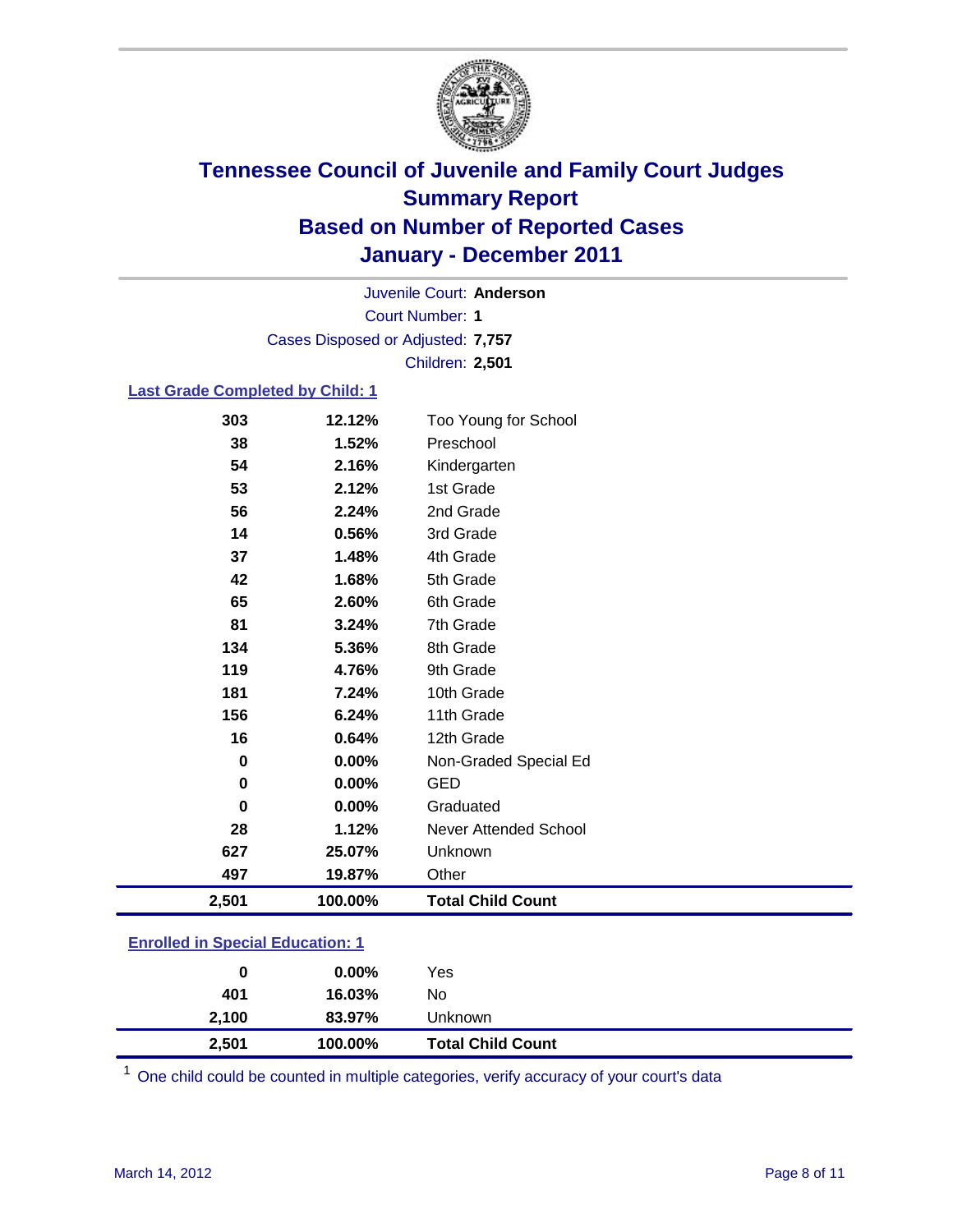

Court Number: **1** Juvenile Court: **Anderson** Cases Disposed or Adjusted: **7,757** Children: **2,501**

#### **Last Grade Completed by Child: 1**

|          | 100.00% | <b>Total Child Count</b>     |
|----------|---------|------------------------------|
| 497      | 19.87%  | Other                        |
| 627      | 25.07%  | Unknown                      |
| 28       | 1.12%   | <b>Never Attended School</b> |
| $\bf{0}$ | 0.00%   | Graduated                    |
| 0        | 0.00%   | <b>GED</b>                   |
| 0        | 0.00%   | Non-Graded Special Ed        |
| 16       | 0.64%   | 12th Grade                   |
| 156      | 6.24%   | 11th Grade                   |
| 181      | 7.24%   | 10th Grade                   |
| 119      | 4.76%   | 9th Grade                    |
| 134      | 5.36%   | 8th Grade                    |
| 81       | 3.24%   | 7th Grade                    |
| 65       | 2.60%   | 6th Grade                    |
| 42       | 1.68%   | 5th Grade                    |
| 37       | 1.48%   | 4th Grade                    |
| 14       | 0.56%   | 3rd Grade                    |
| 56       | 2.24%   | 2nd Grade                    |
| 53       | 2.12%   | 1st Grade                    |
| 54       | 2.16%   | Kindergarten                 |
| 38       | 1.52%   | Preschool                    |
| 303      | 12.12%  | Too Young for School         |
|          | 2,501   |                              |

### **Enrolled in Special Education: 1**

| 0     | $0.00\%$ | Yes                      |
|-------|----------|--------------------------|
| 401   | 16.03%   | No                       |
| 2,100 | 83.97%   | Unknown                  |
| 2,501 | 100.00%  | <b>Total Child Count</b> |

One child could be counted in multiple categories, verify accuracy of your court's data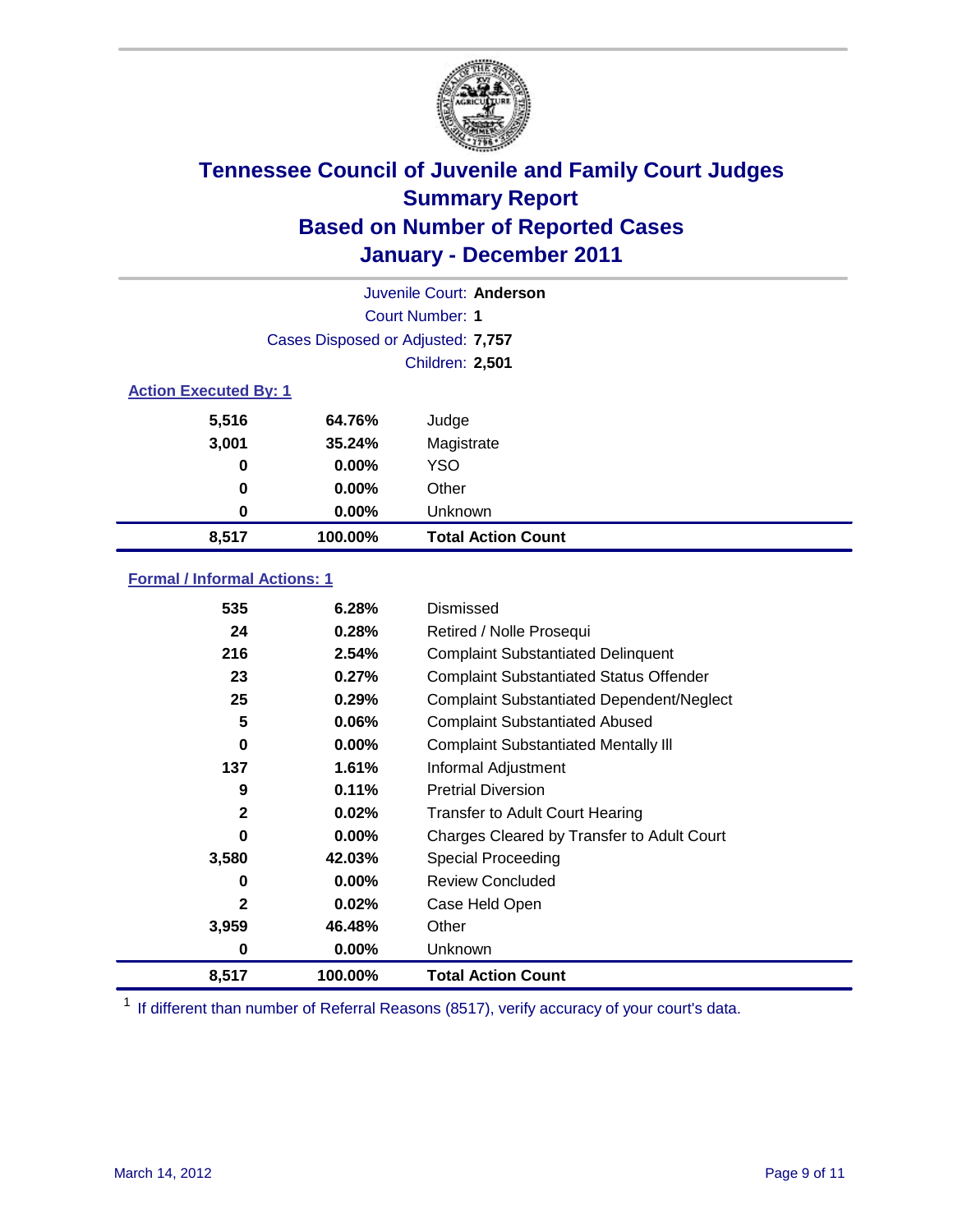

|                              | Juvenile Court: Anderson          |                           |  |  |  |
|------------------------------|-----------------------------------|---------------------------|--|--|--|
|                              | Court Number: 1                   |                           |  |  |  |
|                              | Cases Disposed or Adjusted: 7,757 |                           |  |  |  |
|                              | <b>Children: 2,501</b>            |                           |  |  |  |
| <b>Action Executed By: 1</b> |                                   |                           |  |  |  |
| 5,516                        | 64.76%                            | Judge                     |  |  |  |
| 3,001                        | 35.24%                            | Magistrate                |  |  |  |
| 0                            | $0.00\%$                          | <b>YSO</b>                |  |  |  |
| 0                            | $0.00\%$                          | Other                     |  |  |  |
| 0                            | 0.00%                             | Unknown                   |  |  |  |
| 8,517                        | 100.00%                           | <b>Total Action Count</b> |  |  |  |

### **Formal / Informal Actions: 1**

| 535          | 6.28%    | Dismissed                                        |
|--------------|----------|--------------------------------------------------|
| 24           | 0.28%    | Retired / Nolle Prosequi                         |
| 216          | 2.54%    | <b>Complaint Substantiated Delinquent</b>        |
| 23           | 0.27%    | <b>Complaint Substantiated Status Offender</b>   |
| 25           | 0.29%    | <b>Complaint Substantiated Dependent/Neglect</b> |
| 5            | $0.06\%$ | <b>Complaint Substantiated Abused</b>            |
| 0            | $0.00\%$ | <b>Complaint Substantiated Mentally III</b>      |
| 137          | 1.61%    | Informal Adjustment                              |
| 9            | 0.11%    | <b>Pretrial Diversion</b>                        |
| 2            | 0.02%    | <b>Transfer to Adult Court Hearing</b>           |
| 0            | $0.00\%$ | Charges Cleared by Transfer to Adult Court       |
| 3,580        | 42.03%   | <b>Special Proceeding</b>                        |
| 0            | $0.00\%$ | <b>Review Concluded</b>                          |
| $\mathbf{2}$ | $0.02\%$ | Case Held Open                                   |
| 3,959        | 46.48%   | Other                                            |
| 0            | $0.00\%$ | Unknown                                          |
| 8,517        | 100.00%  | <b>Total Action Count</b>                        |

<sup>1</sup> If different than number of Referral Reasons (8517), verify accuracy of your court's data.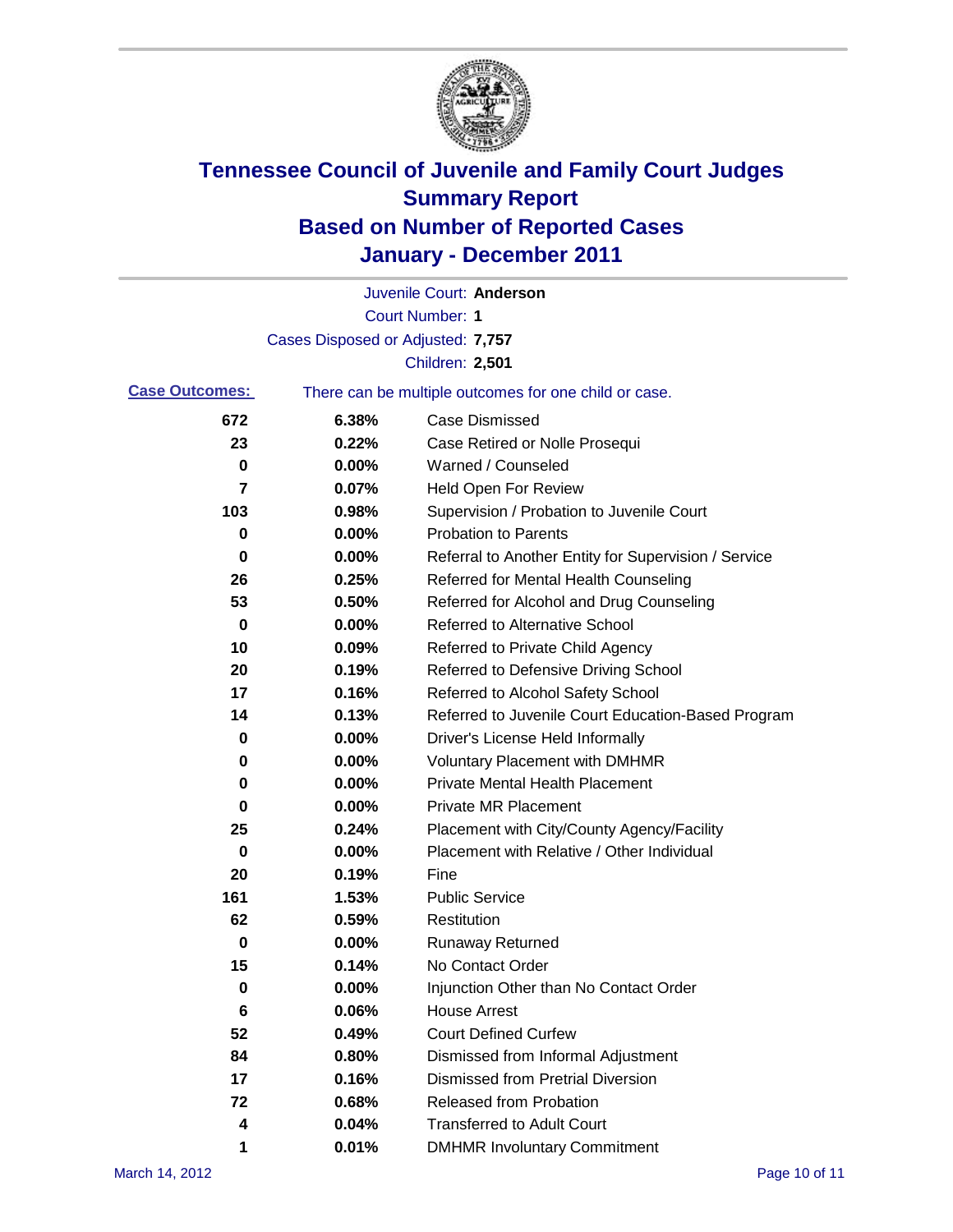

|                       |                                   | Juvenile Court: Anderson                              |
|-----------------------|-----------------------------------|-------------------------------------------------------|
|                       |                                   | <b>Court Number: 1</b>                                |
|                       | Cases Disposed or Adjusted: 7,757 |                                                       |
|                       |                                   | <b>Children: 2,501</b>                                |
| <b>Case Outcomes:</b> |                                   | There can be multiple outcomes for one child or case. |
| 672                   | 6.38%                             | <b>Case Dismissed</b>                                 |
| 23                    | 0.22%                             | Case Retired or Nolle Prosequi                        |
| 0                     | 0.00%                             | Warned / Counseled                                    |
| 7                     | 0.07%                             | <b>Held Open For Review</b>                           |
| 103                   | 0.98%                             | Supervision / Probation to Juvenile Court             |
| 0                     | 0.00%                             | <b>Probation to Parents</b>                           |
| 0                     | 0.00%                             | Referral to Another Entity for Supervision / Service  |
| 26                    | 0.25%                             | Referred for Mental Health Counseling                 |
| 53                    | 0.50%                             | Referred for Alcohol and Drug Counseling              |
| 0                     | 0.00%                             | <b>Referred to Alternative School</b>                 |
| 10                    | 0.09%                             | Referred to Private Child Agency                      |
| 20                    | 0.19%                             | Referred to Defensive Driving School                  |
| 17                    | 0.16%                             | Referred to Alcohol Safety School                     |
| 14                    | 0.13%                             | Referred to Juvenile Court Education-Based Program    |
| 0                     | 0.00%                             | Driver's License Held Informally                      |
| 0                     | 0.00%                             | <b>Voluntary Placement with DMHMR</b>                 |
| 0                     | 0.00%                             | <b>Private Mental Health Placement</b>                |
| 0                     | 0.00%                             | <b>Private MR Placement</b>                           |
| 25                    | 0.24%                             | Placement with City/County Agency/Facility            |
| 0                     | 0.00%                             | Placement with Relative / Other Individual            |
| 20                    | 0.19%                             | Fine                                                  |
| 161                   | 1.53%                             | <b>Public Service</b>                                 |
| 62                    | 0.59%                             | Restitution                                           |
| 0                     | 0.00%                             | <b>Runaway Returned</b>                               |
| 15                    | 0.14%                             | No Contact Order                                      |
| $\pmb{0}$             | 0.00%                             | Injunction Other than No Contact Order                |
| 6                     | 0.06%                             | <b>House Arrest</b>                                   |
| 52                    | 0.49%                             | <b>Court Defined Curfew</b>                           |
| 84                    | 0.80%                             | Dismissed from Informal Adjustment                    |
| 17                    | 0.16%                             | <b>Dismissed from Pretrial Diversion</b>              |
| 72                    | 0.68%                             | Released from Probation                               |
| 4                     | 0.04%                             | <b>Transferred to Adult Court</b>                     |
| 1                     | 0.01%                             | <b>DMHMR Involuntary Commitment</b>                   |